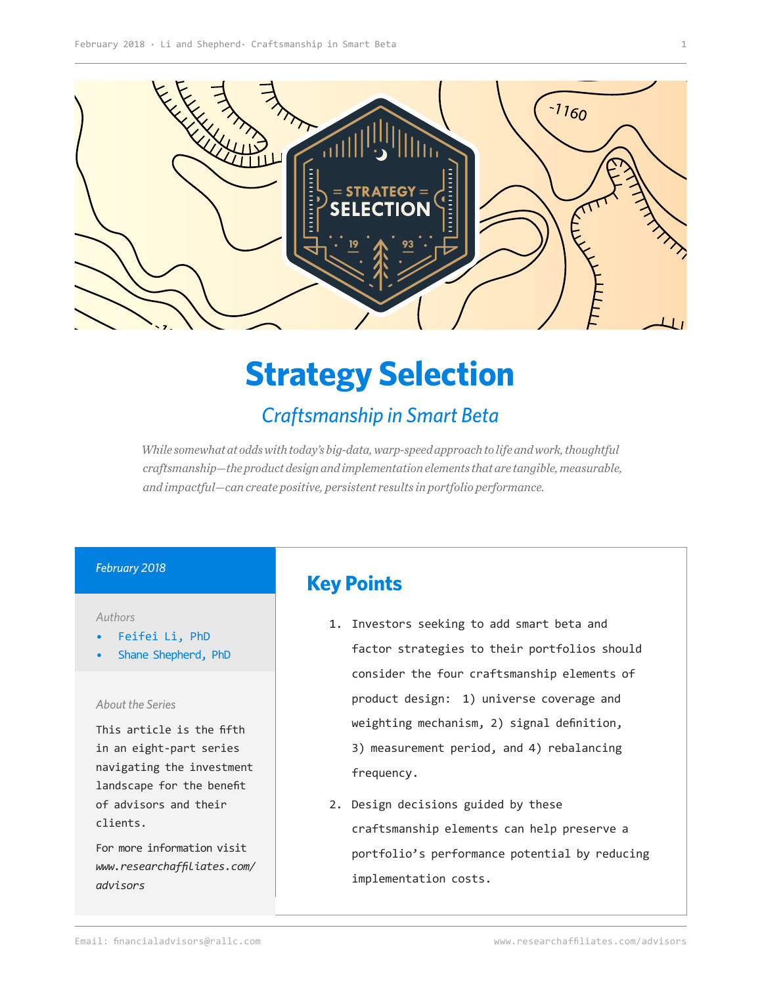

## **Strategy Selection**

## *Craftsmanship in Smart Beta*

*While somewhat at odds with today's big-data, warp-speed approach to life and work, thoughtful craftsmanship—the product design and implementation elements that are tangible, measurable, and impactful—can create positive, persistent results in portfolio performance.*

#### *February 2018*

#### *Authors*

- Feifei Li, PhD
- Shane Shepherd, PhD

#### *About the Series*

This article is the fifth in an eight-part series navigating the investment landscape for the benefit of advisors and their clients.

For more information visit *[www.researchaffiliates.com/](http://www.researchaffiliates.com/en_us/advisors.html
) [advisors](http://www.researchaffiliates.com/en_us/advisors.html
)*

## **Key Points**

- 1. Investors seeking to add smart beta and factor strategies to their portfolios should consider the four craftsmanship elements of product design: 1) universe coverage and weighting mechanism, 2) signal definition, 3) measurement period, and 4) rebalancing frequency.
- 2. Design decisions guided by these craftsmanship elements can help preserve a portfolio's performance potential by reducing implementation costs.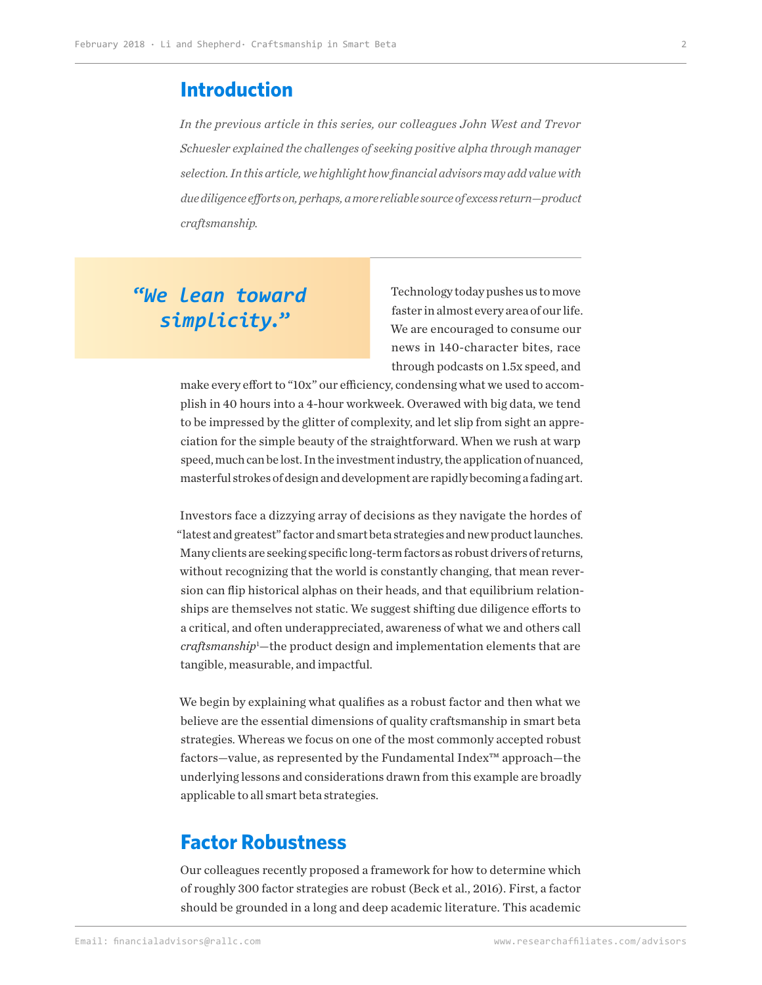## **Introduction**

*In the previous article in this series, our colleagues John West and Trevor Schuesler explained the challenges of seeking positive alpha through manager selection. In this article, we highlight how financial advisors may add value with due diligence efforts on, perhaps, a more reliable source of excess return—product craftsmanship.* 

## **"***We lean toward simplicity.***"**

Technology today pushes us to move faster in almost every area of our life. We are encouraged to consume our news in 140-character bites, race through podcasts on 1.5x speed, and

make every effort to "10x" our efficiency, condensing what we used to accomplish in 40 hours into a 4-hour workweek. Overawed with big data, we tend to be impressed by the glitter of complexity, and let slip from sight an appreciation for the simple beauty of the straightforward. When we rush at warp speed, much can be lost. In the investment industry, the application of nuanced, masterful strokes of design and development are rapidly becoming a fading art.

Investors face a dizzying array of decisions as they navigate the hordes of "latest and greatest" factor and smart beta strategies and new product launches. Many clients are seeking specific long-term factors as robust drivers of returns, without recognizing that the world is constantly changing, that mean reversion can flip historical alphas on their heads, and that equilibrium relationships are themselves not static. We suggest shifting due diligence efforts to a critical, and often underappreciated, awareness of what we and others call *craftsmanship*<sup>1</sup> —the product design and implementation elements that are tangible, measurable, and impactful.

We begin by explaining what qualifies as a robust factor and then what we believe are the essential dimensions of quality craftsmanship in smart beta strategies. Whereas we focus on one of the most commonly accepted robust factors—value, as represented by the Fundamental Index™ approach—the underlying lessons and considerations drawn from this example are broadly applicable to all smart beta strategies.

## **Factor Robustness**

Our colleagues recently proposed a framework for how to determine which of roughly 300 factor strategies are robust (Beck et al., 2016). First, a factor should be grounded in a long and deep academic literature. This academic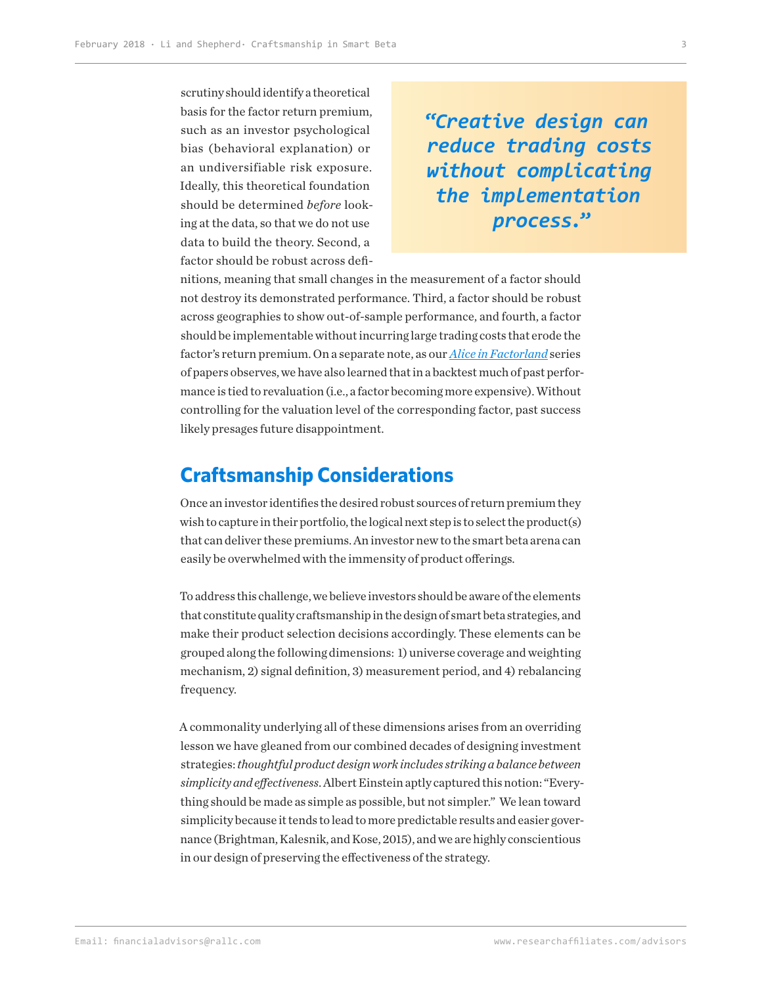scrutiny should identify a theoretical basis for the factor return premium, such as an investor psychological bias (behavioral explanation) or an undiversifiable risk exposure. Ideally, this theoretical foundation should be determined *before* looking at the data, so that we do not use data to build the theory. Second, a factor should be robust across defi-

**"***Creative design can reduce trading costs without complicating the implementation process.***"**

nitions, meaning that small changes in the measurement of a factor should not destroy its demonstrated performance. Third, a factor should be robust across geographies to show out-of-sample performance, and fourth, a factor should be implementable without incurring large trading costs that erode the factor's return premium. On a separate note, as our *[Alice in Factorland](https://www.researchaffiliates.com/en_us/publications/themes/alice-in-factorland.html)* series of papers observes, we have also learned that in a backtest much of past performance is tied to revaluation (i.e., a factor becoming more expensive). Without controlling for the valuation level of the corresponding factor, past success likely presages future disappointment.

## **Craftsmanship Considerations**

Once an investor identifies the desired robust sources of return premium they wish to capture in their portfolio, the logical next step is to select the product(s) that can deliver these premiums. An investor new to the smart beta arena can easily be overwhelmed with the immensity of product offerings.

To address this challenge, we believe investors should be aware of the elements that constitute quality craftsmanship in the design of smart beta strategies, and make their product selection decisions accordingly. These elements can be grouped along the following dimensions: 1) universe coverage and weighting mechanism, 2) signal definition, 3) measurement period, and 4) rebalancing frequency.

A commonality underlying all of these dimensions arises from an overriding lesson we have gleaned from our combined decades of designing investment strategies: *thoughtful product design work includes striking a balance between simplicity and effectiveness*. Albert Einstein aptly captured this notion: "Everything should be made as simple as possible, but not simpler." We lean toward simplicity because it tends to lead to more predictable results and easier governance (Brightman, Kalesnik, and Kose, 2015), and we are highly conscientious in our design of preserving the effectiveness of the strategy.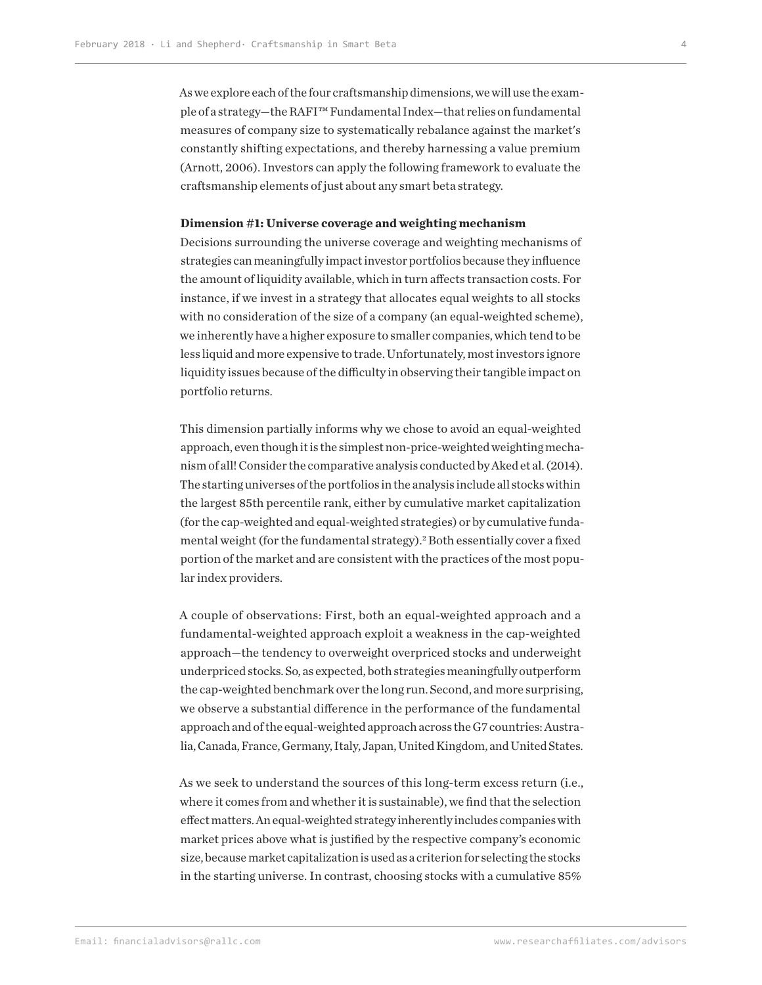As we explore each of the four craftsmanship dimensions, we will use the example of a strategy—the RAFI™ Fundamental Index—that relies on fundamental measures of company size to systematically rebalance against the market's constantly shifting expectations, and thereby harnessing a value premium (Arnott, 2006). Investors can apply the following framework to evaluate the craftsmanship elements of just about any smart beta strategy.

#### **Dimension #1: Universe coverage and weighting mechanism**

Decisions surrounding the universe coverage and weighting mechanisms of strategies can meaningfully impact investor portfolios because they influence the amount of liquidity available, which in turn affects transaction costs. For instance, if we invest in a strategy that allocates equal weights to all stocks with no consideration of the size of a company (an equal-weighted scheme), we inherently have a higher exposure to smaller companies, which tend to be less liquid and more expensive to trade. Unfortunately, most investors ignore liquidity issues because of the difficulty in observing their tangible impact on portfolio returns.

This dimension partially informs why we chose to avoid an equal-weighted approach, even though it is the simplest non-price-weighted weighting mechanism of all! Consider the comparative analysis conducted by Aked et al. (2014). The starting universes of the portfolios in the analysis include all stocks within the largest 85th percentile rank, either by cumulative market capitalization (for the cap-weighted and equal-weighted strategies) or by cumulative fundamental weight (for the fundamental strategy).<sup>2</sup> Both essentially cover a fixed portion of the market and are consistent with the practices of the most popular index providers.

A couple of observations: First, both an equal-weighted approach and a fundamental-weighted approach exploit a weakness in the cap-weighted approach—the tendency to overweight overpriced stocks and underweight underpriced stocks. So, as expected, both strategies meaningfully outperform the cap-weighted benchmark over the long run. Second, and more surprising, we observe a substantial difference in the performance of the fundamental approach and of the equal-weighted approach across the G7 countries: Australia, Canada, France, Germany, Italy, Japan, United Kingdom, and United States.

As we seek to understand the sources of this long-term excess return (i.e., where it comes from and whether it is sustainable), we find that the selection effect matters. An equal-weighted strategy inherently includes companies with market prices above what is justified by the respective company's economic size, because market capitalization is used as a criterion for selecting the stocks in the starting universe. In contrast, choosing stocks with a cumulative 85%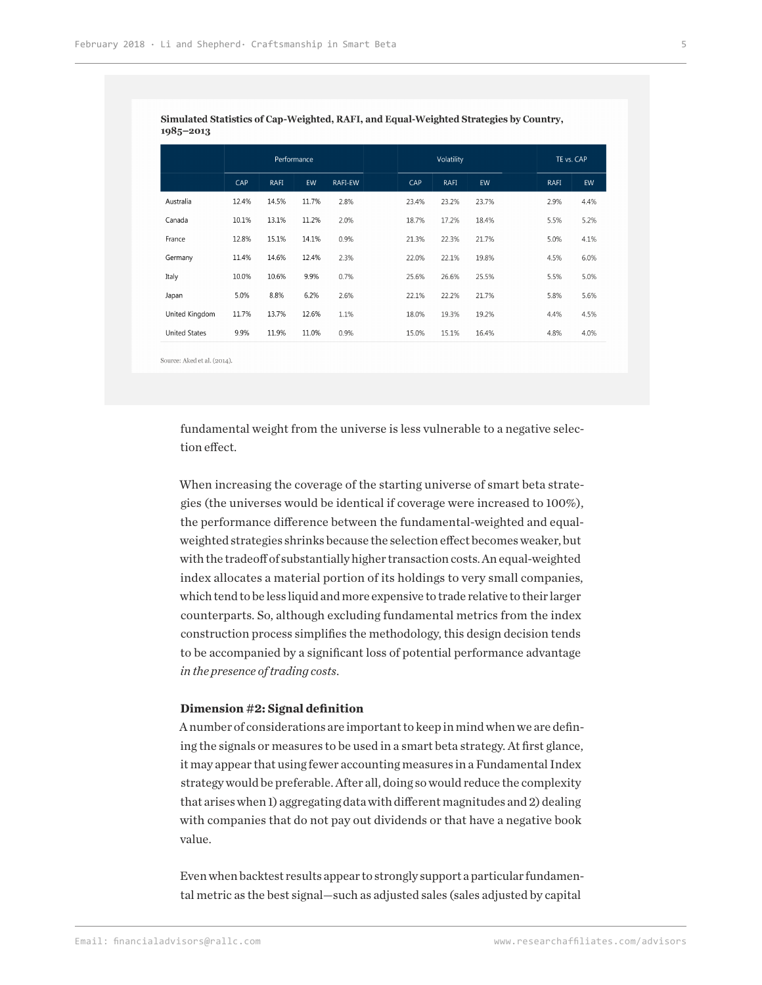| $-20 - 20$           |             |       |       |            |       |             |            |      |      |
|----------------------|-------------|-------|-------|------------|-------|-------------|------------|------|------|
|                      | Performance |       |       | Volatility |       |             | TE vs. CAP |      |      |
|                      | CAP         | RAFI  | EW    | RAFI-EW    | CAP   | <b>RAFI</b> | EW         | RAFI | EW   |
| Australia            | 12.4%       | 14.5% | 11.7% | 2.8%       | 23.4% | 23.2%       | 23.7%      | 2.9% | 4.4% |
| Canada               | 10.1%       | 13.1% | 11.2% | 2.0%       | 18.7% | 17.2%       | 18.4%      | 5.5% | 5.2% |
| France               | 12.8%       | 15.1% | 14.1% | 0.9%       | 21.3% | 22.3%       | 21.7%      | 5.0% | 4.1% |
| Germany              | 11.4%       | 14.6% | 12.4% | 2.3%       | 22.0% | 22.1%       | 19.8%      | 4.5% | 6.0% |
| Italy                | 10.0%       | 10.6% | 9.9%  | 0.7%       | 25.6% | 26.6%       | 25.5%      | 5.5% | 5.0% |
| Japan                | 5.0%        | 8.8%  | 6.2%  | 2.6%       | 22.1% | 22.2%       | 21.7%      | 5.8% | 5.6% |
| United Kingdom       | 11.7%       | 13.7% | 12.6% | 1.1%       | 18.0% | 19.3%       | 19.2%      | 4.4% | 4.5% |
| <b>United States</b> | 9.9%        | 11.9% | 11.0% | 0.9%       | 15.0% | 15.1%       | 16.4%      | 4.8% | 4.0% |
|                      |             |       |       |            |       |             |            |      |      |

Simulated Statistics of Cap-Weighted, RAFI, and Equal-Weighted Strategies by Country,  $1085 - 2012$ 

Source: Aked et al. (2014).

fundamental weight from the universe is less vulnerable to a negative selection effect.

When increasing the coverage of the starting universe of smart beta strategies (the universes would be identical if coverage were increased to 100%), the performance difference between the fundamental-weighted and equalweighted strategies shrinks because the selection effect becomes weaker, but with the tradeoff of substantially higher transaction costs. An equal-weighted index allocates a material portion of its holdings to very small companies, which tend to be less liquid and more expensive to trade relative to their larger counterparts. So, although excluding fundamental metrics from the index construction process simplifies the methodology, this design decision tends to be accompanied by a significant loss of potential performance advantage *in the presence of trading costs*.

#### **Dimension #2: Signal definition**

A number of considerations are important to keep in mind when we are defining the signals or measures to be used in a smart beta strategy. At first glance, it may appear that using fewer accounting measures in a Fundamental Index strategy would be preferable. After all, doing so would reduce the complexity that arises when 1) aggregating data with different magnitudes and 2) dealing with companies that do not pay out dividends or that have a negative book value.

Even when backtest results appear to strongly support a particular fundamental metric as the best signal—such as adjusted sales (sales adjusted by capital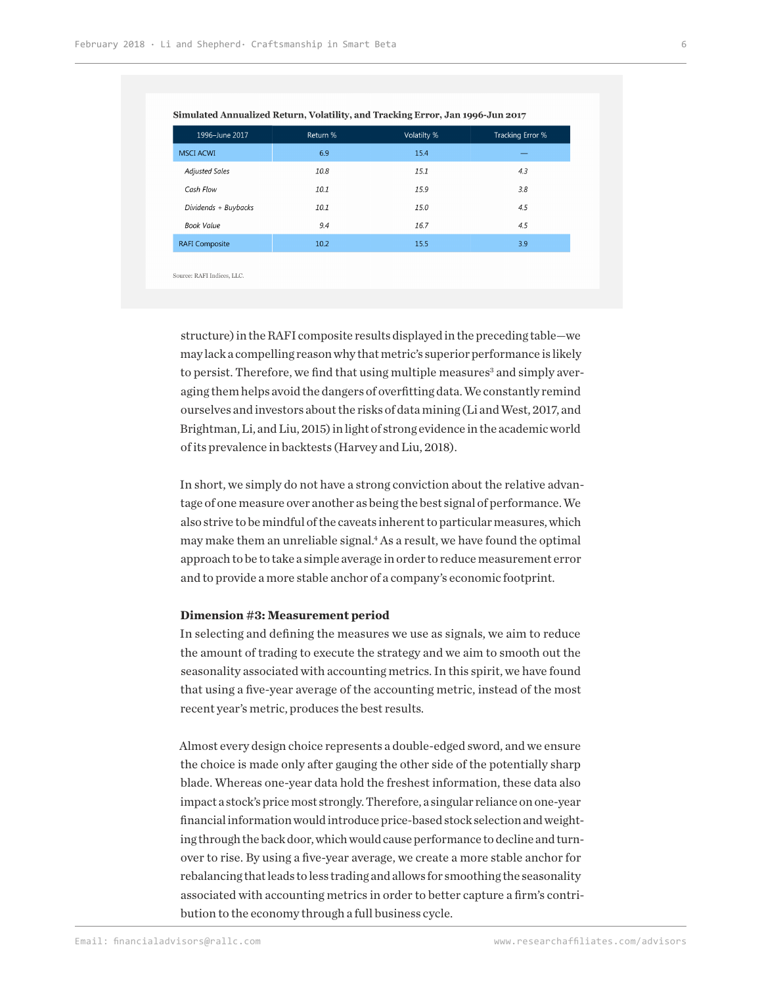| 1996-June 2017        | Return % | Volatilty % | Tracking Error % |
|-----------------------|----------|-------------|------------------|
| <b>MSCI ACWI</b>      | 6.9      | 15.4        | _                |
| <b>Adjusted Sales</b> | 10.8     | 15.1        | 4.3              |
| Cash Flow             | 10.1     | 15.9        | 3.8              |
| Dividends + Buybacks  | 10.1     | 15.0        | 4.5              |
| <b>Book Value</b>     | 9.4      | 16.7        | 4.5              |
| <b>RAFI Composite</b> | 10.2     | 15.5        | 3.9              |

#### Simulated Annualized Return, Volatility, and Tracking Error, Jan 1996-Jun 2017

Source: RAFI Indices, LLC.

structure) in the RAFI composite results displayed in the preceding table—we may lack a compelling reason why that metric's superior performance is likely to persist. Therefore, we find that using multiple measures<sup>3</sup> and simply averaging them helps avoid the dangers of overfitting data. We constantly remind ourselves and investors about the risks of data mining (Li and West, 2017, and Brightman, Li, and Liu, 2015) in light of strong evidence in the academic world of its prevalence in backtests (Harvey and Liu, 2018).

In short, we simply do not have a strong conviction about the relative advantage of one measure over another as being the best signal of performance. We also strive to be mindful of the caveats inherent to particular measures, which may make them an unreliable signal.<sup>4</sup> As a result, we have found the optimal approach to be to take a simple average in order to reduce measurement error and to provide a more stable anchor of a company's economic footprint.

#### **Dimension #3: Measurement period**

In selecting and defining the measures we use as signals, we aim to reduce the amount of trading to execute the strategy and we aim to smooth out the seasonality associated with accounting metrics. In this spirit, we have found that using a five-year average of the accounting metric, instead of the most recent year's metric, produces the best results.

Almost every design choice represents a double-edged sword, and we ensure the choice is made only after gauging the other side of the potentially sharp blade. Whereas one-year data hold the freshest information, these data also impact a stock's price most strongly. Therefore, a singular reliance on one-year financial information would introduce price-based stock selection and weighting through the back door, which would cause performance to decline and turnover to rise. By using a five-year average, we create a more stable anchor for rebalancing that leads to less trading and allows for smoothing the seasonality associated with accounting metrics in order to better capture a firm's contribution to the economy through a full business cycle.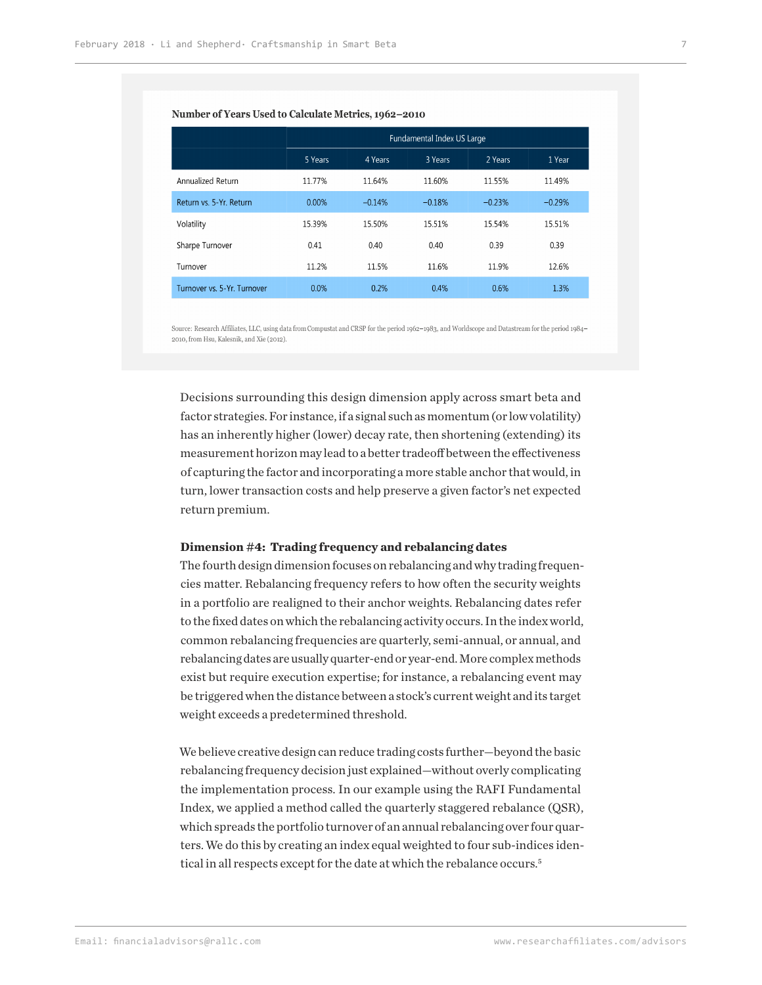#### Number of Years Used to Calculate Metrics, 1962-2010

|                             | Fundamental Index US Large |          |          |          |          |  |  |
|-----------------------------|----------------------------|----------|----------|----------|----------|--|--|
|                             | 5 Years                    | 4 Years  | 3 Years  | 2 Years  | 1 Year   |  |  |
| Annualized Return           | 11.77%                     | 11.64%   | 11.60%   | 11.55%   | 11.49%   |  |  |
| Return vs. 5-Yr. Return     | 0.00%                      | $-0.14%$ | $-0.18%$ | $-0.23%$ | $-0.29%$ |  |  |
| Volatility                  | 15.39%                     | 15.50%   | 15.51%   | 15.54%   | 15.51%   |  |  |
| Sharpe Turnover             | 0.41                       | 0.40     | 0.40     | 0.39     | 0.39     |  |  |
| Turnover                    | 11.2%                      | 11.5%    | 11.6%    | 11.9%    | 12.6%    |  |  |
| Turnover vs. 5-Yr. Turnover | 0.0%                       | 0.2%     | 0.4%     | 0.6%     | 1.3%     |  |  |

Source: Research Affiliates, LLC, using data from Compustat and CRSP for the period 1962-1983, and Worldscope and Datastream for the period 1984-2010, from Hsu, Kalesnik, and Xie (2012).

Decisions surrounding this design dimension apply across smart beta and factor strategies. For instance, if a signal such as momentum (or low volatility) has an inherently higher (lower) decay rate, then shortening (extending) its measurement horizon may lead to a better tradeoff between the effectiveness of capturing the factor and incorporating a more stable anchor that would, in turn, lower transaction costs and help preserve a given factor's net expected return premium.

#### **Dimension #4: Trading frequency and rebalancing dates**

The fourth design dimension focuses on rebalancing and why trading frequencies matter. Rebalancing frequency refers to how often the security weights in a portfolio are realigned to their anchor weights. Rebalancing dates refer to the fixed dates on which the rebalancing activity occurs. In the index world, common rebalancing frequencies are quarterly, semi-annual, or annual, and rebalancing dates are usually quarter-end or year-end. More complex methods exist but require execution expertise; for instance, a rebalancing event may be triggered when the distance between a stock's current weight and its target weight exceeds a predetermined threshold.

We believe creative design can reduce trading costs further—beyond the basic rebalancing frequency decision just explained—without overly complicating the implementation process. In our example using the RAFI Fundamental Index, we applied a method called the quarterly staggered rebalance (QSR), which spreads the portfolio turnover of an annual rebalancing over four quarters. We do this by creating an index equal weighted to four sub-indices identical in all respects except for the date at which the rebalance occurs.<sup>5</sup>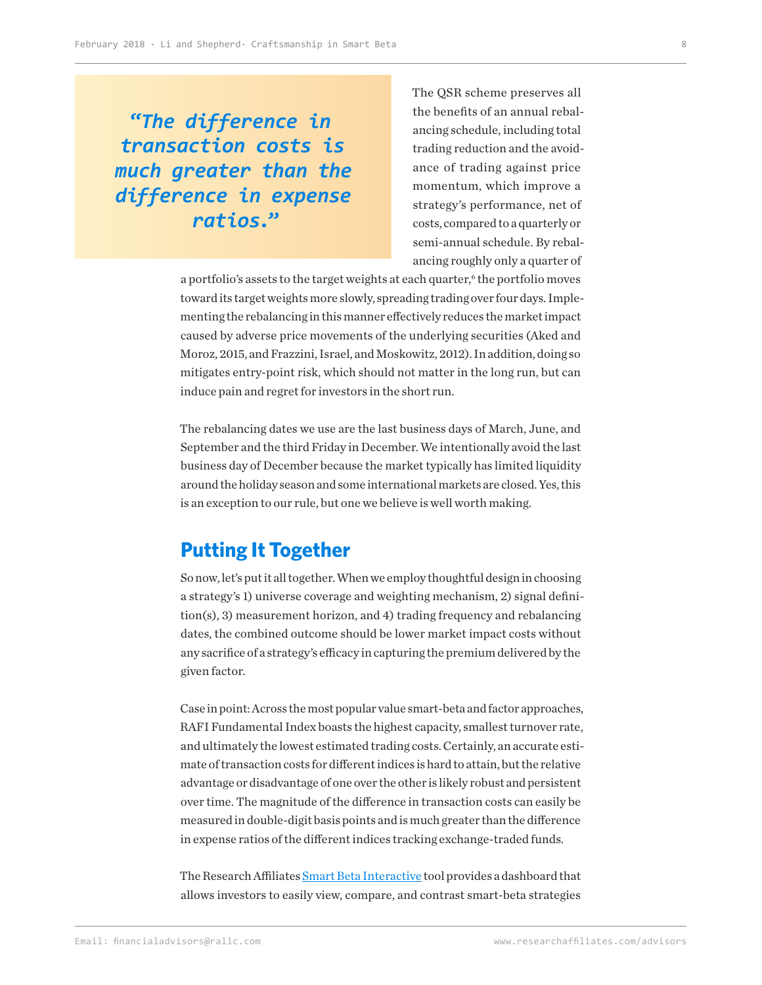**"***The difference in transaction costs is much greater than the difference in expense ratios.***"**

The QSR scheme preserves all the benefits of an annual rebalancing schedule, including total trading reduction and the avoidance of trading against price momentum, which improve a strategy's performance, net of costs, compared to a quarterly or semi-annual schedule. By rebalancing roughly only a quarter of

a portfolio's assets to the target weights at each quarter,<sup>6</sup> the portfolio moves toward its target weights more slowly, spreading trading over four days. Implementing the rebalancing in this manner effectively reduces the market impact caused by adverse price movements of the underlying securities (Aked and Moroz, 2015, and Frazzini, Israel, and Moskowitz, 2012). In addition, doing so mitigates entry-point risk, which should not matter in the long run, but can induce pain and regret for investors in the short run.

The rebalancing dates we use are the last business days of March, June, and September and the third Friday in December. We intentionally avoid the last business day of December because the market typically has limited liquidity around the holiday season and some international markets are closed. Yes, this is an exception to our rule, but one we believe is well worth making.

## **Putting It Together**

So now, let's put it all together. When we employ thoughtful design in choosing a strategy's 1) universe coverage and weighting mechanism, 2) signal definition(s), 3) measurement horizon, and 4) trading frequency and rebalancing dates, the combined outcome should be lower market impact costs without any sacrifice of a strategy's efficacy in capturing the premium delivered by the given factor.

Case in point: Across the most popular value smart-beta and factor approaches, RAFI Fundamental Index boasts the highest capacity, smallest turnover rate, and ultimately the lowest estimated trading costs. Certainly, an accurate estimate of transaction costs for different indices is hard to attain, but the relative advantage or disadvantage of one over the other is likely robust and persistent over time. The magnitude of the difference in transaction costs can easily be measured in double-digit basis points and is much greater than the difference in expense ratios of the different indices tracking exchange-traded funds.

The Research Affiliates [Smart Beta Interactive](https://interactive.researchaffiliates.com/smart-beta#!/strategies) tool provides a dashboard that allows investors to easily view, compare, and contrast smart-beta strategies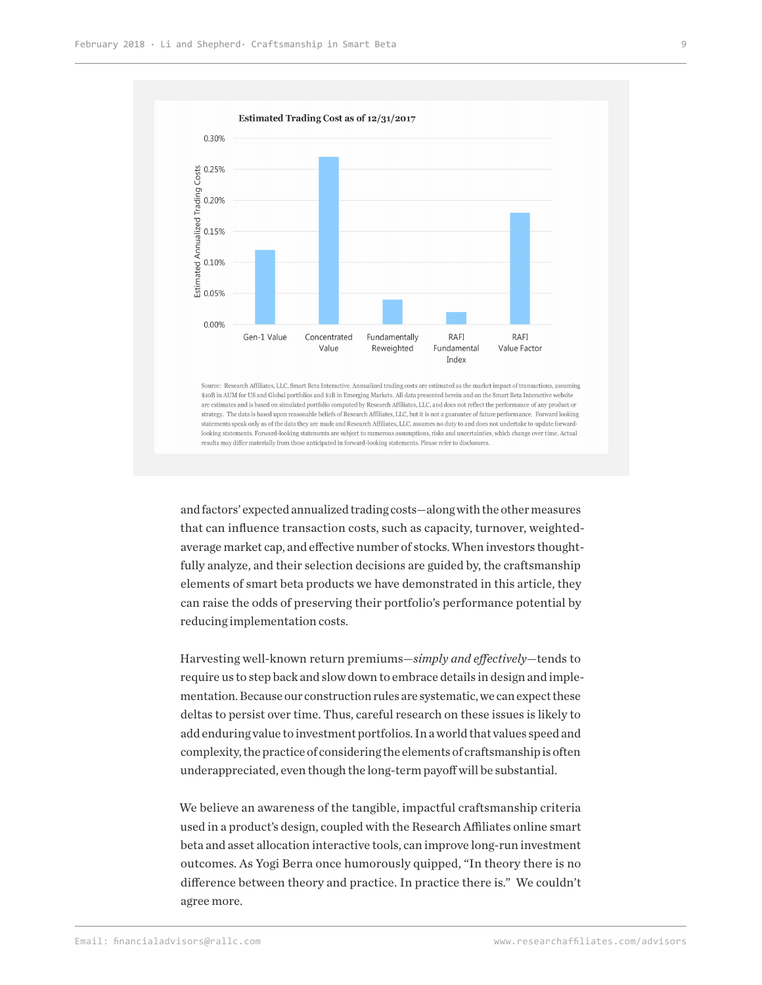

Source: Research Affiliates, LLC, Smart Beta Interactive. Annualized trading costs are estimated as the market impact of transactions, assuming \$10B in AUM for US and Global portfolios and \$1B in Emerging Markets. All data presented herein and on the Smart Beta Interactive website are estimates and is based on simulated portfolio computed by Research Affiliates, LLC, and does not reflect the performance of any product or strategy. The data is based upon reasonable beliefs of Research Affiliates, LLC, but it is not a guarantee of future performance. Forward looking statements speak only as of the data they are made and Research Affiliates, LLC, assumes no duty to and does not undertake to update forwardlooking statements. Forward-looking statements are subject to numerous assumptions, risks and uncertainties, which change over time. Actual results may differ materially from those anticipated in forward-looking statements. Please refer to disclosures.

and factors' expected annualized trading costs—along with the other measures that can influence transaction costs, such as capacity, turnover, weightedaverage market cap, and effective number of stocks. When investors thoughtfully analyze, and their selection decisions are guided by, the craftsmanship elements of smart beta products we have demonstrated in this article, they can raise the odds of preserving their portfolio's performance potential by reducing implementation costs.

Harvesting well-known return premiums—*simply and effectively*—tends to require us to step back and slow down to embrace details in design and implementation. Because our construction rules are systematic, we can expect these deltas to persist over time. Thus, careful research on these issues is likely to add enduring value to investment portfolios. In a world that values speed and complexity, the practice of considering the elements of craftsmanship is often underappreciated, even though the long-term payoff will be substantial.

We believe an awareness of the tangible, impactful craftsmanship criteria used in a product's design, coupled with the Research Affiliates online smart beta and asset allocation interactive tools, can improve long-run investment outcomes. As Yogi Berra once humorously quipped, "In theory there is no difference between theory and practice. In practice there is." We couldn't agree more.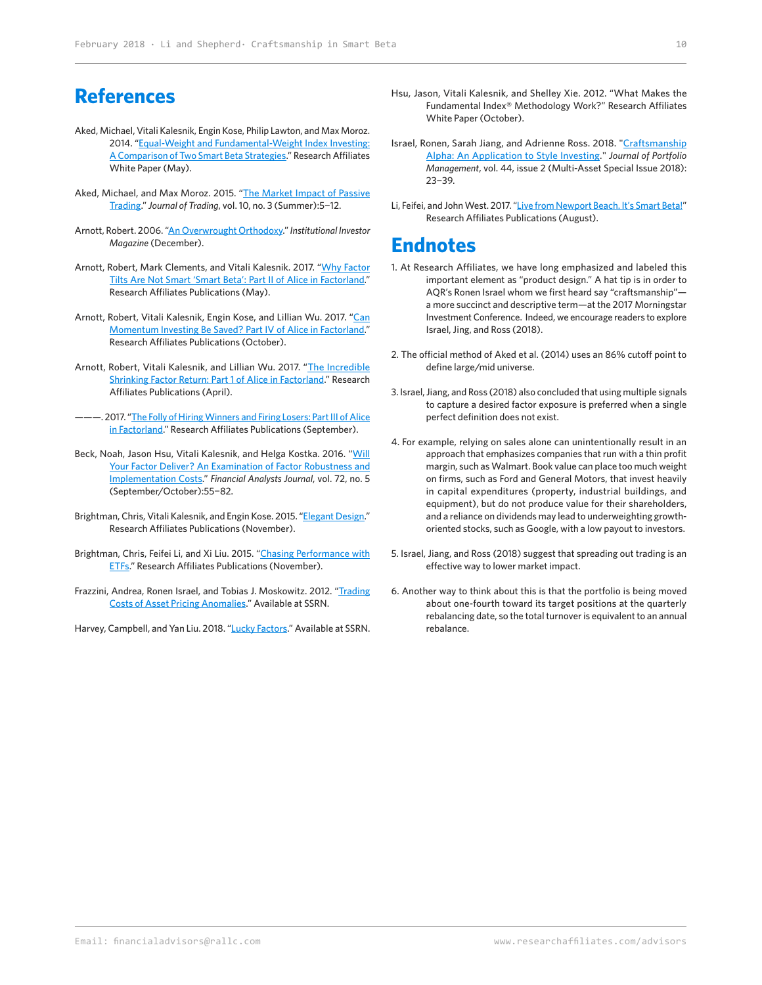## **References**

- Aked, Michael, Vitali Kalesnik, Engin Kose, Philip Lawton, and Max Moroz. 2014. ["Equal-Weight and Fundamental-Weight Index Investing:](https://www.researchaffiliates.com/en_us/publications/articles/249_equal_weight_and_fundamental_weight_index_investing.html)  [A Comparison of Two Smart Beta Strategies](https://www.researchaffiliates.com/en_us/publications/articles/249_equal_weight_and_fundamental_weight_index_investing.html)." Research Affiliates White Paper (May).
- Aked, Michael, and Max Moroz. 2015. ["The Market Impact of Passive](https://www.researchaffiliates.com/en_us/publications/journal-papers/218_the_market_impact_of_passive_trading.html)  [Trading](https://www.researchaffiliates.com/en_us/publications/journal-papers/218_the_market_impact_of_passive_trading.html)." *Journal of Trading*, vol. 10, no. 3 (Summer):5−12.
- Arnott, Robert. 2006. ["An Overwrought Orthodoxy](https://www.researchaffiliates.com/content/dam/ra/documents/Institutional_Investor_Dec_2006_An_Overwrought_Orthodoxy.pdf)." Institutional Investor *Magazine* (December).
- Arnott, Robert, Mark Clements, and Vitali Kalesnik. 2017. "Why Factor [Tilts Are Not Smart 'Smart Beta': Part II of Alice in Factorland.](https://www.researchaffiliates.com/en_us/publications/articles/610-why-factor-tilts-are-not-smart-smart-beta.html)" Research Affiliates Publications (May).
- Arnott, Robert, Vitali Kalesnik, Engin Kose, and Lillian Wu. 2017. "Can [Momentum Investing Be Saved? Part IV of Alice in Factorland.](https://www.researchaffiliates.com/en_us/publications/articles/637-can-momentum-investing-be-saved.html)" Research Affiliates Publications (October).
- Arnott, Robert, Vitali Kalesnik, and Lillian Wu. 2017. "The Incredible [Shrinking Factor Return: Part 1 of Alice in Factorland](https://www.researchaffiliates.com/en_us/publications/articles/601-the-incredible-shrinking-factor-return.html)." Research Affiliates Publications (April).
- -. 2017. "The Folly of Hiring Winners and Firing Losers: Part III of Alice [in Factorland.](https://www.researchaffiliates.com/en_us/publications/articles/630-the-folly-of-hiring-winners-and-firing-losers.html)" Research Affiliates Publications (September).
- Beck, Noah, Jason Hsu, Vitali Kalesnik, and Helga Kostka. 2016. "Will [Your Factor Deliver? An Examination of Factor Robustness and](https://www.researchaffiliates.com/en_us/publications/journal-papers/312_will_your_factor_deliver_an_examination_of_factor_robustness_and_implementation_costs_factor_zoology.html)  [Implementation Costs.](https://www.researchaffiliates.com/en_us/publications/journal-papers/312_will_your_factor_deliver_an_examination_of_factor_robustness_and_implementation_costs_factor_zoology.html)" *Financial Analysts Journal*, vol. 72, no. 5 (September/October):55−82.
- Brightman, Chris, Vitali Kalesnik, and Engin Kose. 2015. "[Elegant Design.](https://www.researchaffiliates.com/en_us/publications/articles/446_elegant_design.html)" Research Affiliates Publications (November).
- Brightman, Chris, Feifei Li, and Xi Liu. 2015. ["Chasing Performance with](https://www.researchaffiliates.com/en_us/publications/articles/470_chasing_performance_with_etfs.html)  [ETFs.](https://www.researchaffiliates.com/en_us/publications/articles/470_chasing_performance_with_etfs.html)" Research Affiliates Publications (November).
- Frazzini, Andrea, Ronen Israel, and Tobias J. Moskowitz. 2012. ["Trading](https://papers.ssrn.com/sol3/papers.cfm?abstract_id=2294498)  [Costs of Asset Pricing Anomalies.](https://papers.ssrn.com/sol3/papers.cfm?abstract_id=2294498)" Available at SSRN.
- Harvey, Campbell, and Yan Liu. 2018. "[Lucky Factors.](https://ssrn.com/abstract=2528780)" Available at SSRN.
- Hsu, Jason, Vitali Kalesnik, and Shelley Xie. 2012. "What Makes the Fundamental Index® Methodology Work?" Research Affiliates White Paper (October).
- Israel, Ronen, Sarah Jiang, and Adrienne Ross. 2018. "[Craftsmanship](http://jpm.iijournals.com/content/44/2/23) [Alpha: An Application to Style Investing](http://jpm.iijournals.com/content/44/2/23)." *Journal of Portfolio Management*, vol. 44, issue 2 (Multi-Asset Special Issue 2018): 23−39.
- Li, Feifei, and John West. 2017. "[Live from Newport Beach. It's Smart Beta!"](https://www.researchaffiliates.com/en_us/publications/articles/626-live-from-newport-beach-its-smart-beta.html) Research Affiliates Publications (August).

## **Endnotes**

- 1. At Research Affiliates, we have long emphasized and labeled this important element as "product design." A hat tip is in order to AQR's Ronen Israel whom we first heard say "craftsmanship" a more succinct and descriptive term—at the 2017 Morningstar Investment Conference. Indeed, we encourage readers to explore Israel, Jing, and Ross (2018).
- 2. The official method of Aked et al. (2014) uses an 86% cutoff point to define large/mid universe.
- 3. Israel, Jiang, and Ross (2018) also concluded that using multiple signals to capture a desired factor exposure is preferred when a single perfect definition does not exist.
- 4. For example, relying on sales alone can unintentionally result in an approach that emphasizes companies that run with a thin profit margin, such as Walmart. Book value can place too much weight on firms, such as Ford and General Motors, that invest heavily in capital expenditures (property, industrial buildings, and equipment), but do not produce value for their shareholders, and a reliance on dividends may lead to underweighting growthoriented stocks, such as Google, with a low payout to investors.
- 5. Israel, Jiang, and Ross (2018) suggest that spreading out trading is an effective way to lower market impact.
- 6. Another way to think about this is that the portfolio is being moved about one-fourth toward its target positions at the quarterly rebalancing date, so the total turnover is equivalent to an annual rebalance.